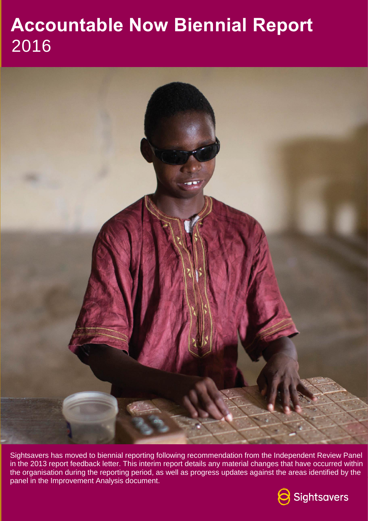# **Accountable Now Biennial Report** 2016



Sightsavers has moved to biennial reporting following recommendation from the Independent Review Panel in the 2013 report feedback letter. This interim report details any material changes that have occurred within the organisation during the reporting period, as well as progress updates against the areas identified by the panel in the Improvement Analysis document.

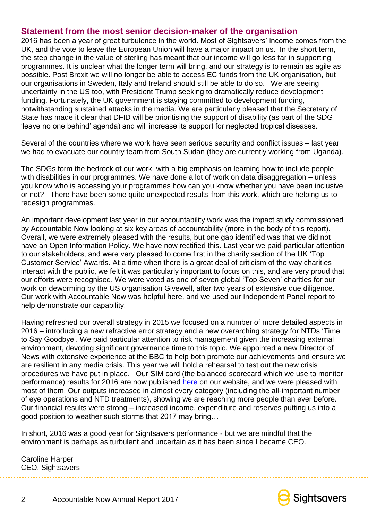#### **Statement from the most senior decision-maker of the organisation**

2016 has been a year of great turbulence in the world. Most of Sightsavers' income comes from the UK, and the vote to leave the European Union will have a major impact on us. In the short term, the step change in the value of sterling has meant that our income will go less far in supporting programmes. It is unclear what the longer term will bring, and our strategy is to remain as agile as possible. Post Brexit we will no longer be able to access EC funds from the UK organisation, but our organisations in Sweden, Italy and Ireland should still be able to do so. We are seeing uncertainty in the US too, with President Trump seeking to dramatically reduce development funding. Fortunately, the UK government is staying committed to development funding, notwithstanding sustained attacks in the media. We are particularly pleased that the Secretary of State has made it clear that DFID will be prioritising the support of disability (as part of the SDG 'leave no one behind' agenda) and will increase its support for neglected tropical diseases.

Several of the countries where we work have seen serious security and conflict issues – last year we had to evacuate our country team from South Sudan (they are currently working from Uganda).

The SDGs form the bedrock of our work, with a big emphasis on learning how to include people with disabilities in our programmes. We have done a lot of work on data disaggregation – unless you know who is accessing your programmes how can you know whether you have been inclusive or not? There have been some quite unexpected results from this work, which are helping us to redesign programmes.

An important development last year in our accountability work was the impact study commissioned by Accountable Now looking at six key areas of accountability (more in the body of this report). Overall, we were extremely pleased with the results, but one gap identified was that we did not have an Open Information Policy. We have now rectified this. Last year we paid particular attention to our stakeholders, and were very pleased to come first in the charity section of the UK 'Top Customer Service' Awards. At a time when there is a great deal of criticism of the way charities interact with the public, we felt it was particularly important to focus on this, and are very proud that our efforts were recognised. We were voted as one of seven global 'Top Seven' charities for our work on deworming by the US organisation Givewell, after two years of extensive due diligence. Our work with Accountable Now was helpful here, and we used our Independent Panel report to help demonstrate our capability.

Having refreshed our overall strategy in 2015 we focused on a number of more detailed aspects in 2016 – introducing a new refractive error strategy and a new overarching strategy for NTDs 'Time to Say Goodbye'. We paid particular attention to risk management given the increasing external environment, devoting significant governance time to this topic. We appointed a new Director of News with extensive experience at the BBC to help both promote our achievements and ensure we are resilient in any media crisis. This year we will hold a rehearsal to test out the new crisis procedures we have put in place. Our SIM card (the balanced scorecard which we use to monitor performance) results for 2016 are now published [here](https://dashboard.sightsavers.org/Dashboard.aspx?pub=true&_ga=1.95254236.1914493459.1486128925) on our website, and we were pleased with most of them. Our outputs increased in almost every category (including the all-important number of eye operations and NTD treatments), showing we are reaching more people than ever before. Our financial results were strong – increased income, expenditure and reserves putting us into a good position to weather such storms that 2017 may bring…

In short, 2016 was a good year for Sightsavers performance - but we are mindful that the environment is perhaps as turbulent and uncertain as it has been since I became CEO.

Caroline Harper CEO, Sightsavers

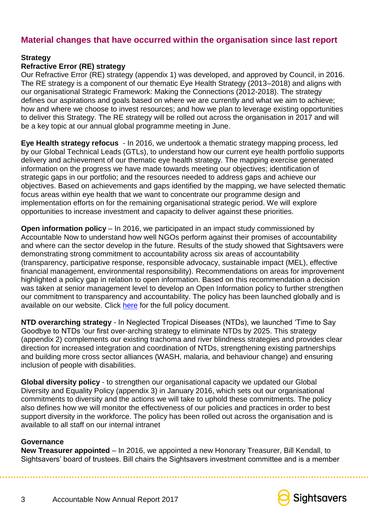## **Material changes that have occurred within the organisation since last report**

#### **Strategy**

#### **Refractive Error (RE) strategy**

Our Refractive Error (RE) strategy (appendix 1) was developed, and approved by Council, in 2016. The RE strategy is a component of our thematic Eye Health Strategy (2013–2018) and aligns with our organisational Strategic Framework: Making the Connections (2012-2018). The strategy defines our aspirations and goals based on where we are currently and what we aim to achieve; how and where we choose to invest resources; and how we plan to leverage existing opportunities to deliver this Strategy. The RE strategy will be rolled out across the organisation in 2017 and will be a key topic at our annual global programme meeting in June.

**Eye Health strategy refocus** - In 2016, we undertook a thematic strategy mapping process, led by our Global Technical Leads (GTLs), to understand how our current eye health portfolio supports delivery and achievement of our thematic eye health strategy. The mapping exercise generated information on the progress we have made towards meeting our objectives; identification of strategic gaps in our portfolio; and the resources needed to address gaps and achieve our objectives. Based on achievements and gaps identified by the mapping, we have selected thematic focus areas within eye health that we want to concentrate our programme design and implementation efforts on for the remaining organisational strategic period. We will explore opportunities to increase investment and capacity to deliver against these priorities.

**Open information policy** – In 2016, we participated in an impact study commissioned by Accountable Now to understand how well NGOs perform against their promises of accountability and where can the sector develop in the future. Results of the study showed that Sightsavers were demonstrating strong commitment to accountability across six areas of accountability (transparency, participative response, responsible advocacy, sustainable impact (MEL), effective financial management, environmental responsibility). Recommendations on areas for improvement highlighted a policy gap in relation to open information. Based on this recommendation a decision was taken at senior management level to develop an Open Information policy to further strengthen our commitment to transparency and accountability. The policy has been launched globally and is available on our website. Click [here](https://www.sightsavers.org/wp-content/uploads/2017/04/20160928-Sightsavers_Open_Information_Policy_v1-0.pdf) for the full policy document.

**NTD overarching strategy** - In Neglected Tropical Diseases (NTDs), we launched 'Time to Say Goodbye to NTDs 'our first over-arching strategy to eliminate NTDs by 2025. This strategy (appendix 2) complements our existing trachoma and river blindness strategies and provides clear direction for increased integration and coordination of NTDs, strengthening existing partnerships and building more cross sector alliances (WASH, malaria, and behaviour change) and ensuring inclusion of people with disabilities.

**Global diversity policy** - to strengthen our organisational capacity we updated our Global Diversity and Equality Policy (appendix 3) in January 2016, which sets out our organisational commitments to diversity and the actions we will take to uphold these commitments. The policy also defines how we will monitor the effectiveness of our policies and practices in order to best support diversity in the workforce. The policy has been rolled out across the organisation and is available to all staff on our internal intranet

#### **Governance**

**New Treasurer appointed** – In 2016, we appointed a new Honorary Treasurer, Bill Kendall, to Sightsavers' board of trustees. Bill chairs the Sightsavers investment committee and is a member

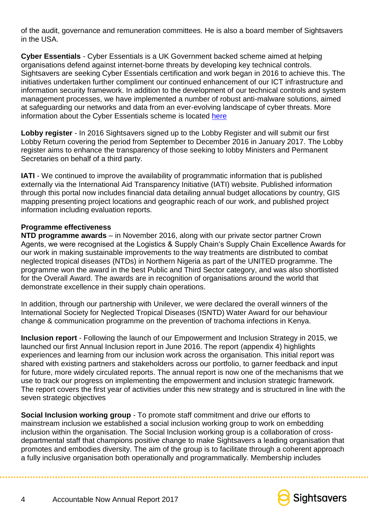of the audit, governance and remuneration committees. He is also a board member of Sightsavers in the USA.

**Cyber Essentials** - Cyber Essentials is a UK Government backed scheme aimed at helping organisations defend against internet-borne threats by developing key technical controls. Sightsavers are seeking Cyber Essentials certification and work began in 2016 to achieve this. The initiatives undertaken further compliment our continued enhancement of our ICT infrastructure and information security framework. In addition to the development of our technical controls and system management processes, we have implemented a number of robust anti-malware solutions, aimed at safeguarding our networks and data from an ever-evolving landscape of cyber threats. More information about the Cyber Essentials scheme is located [here](https://www.cyberaware.gov.uk/cyberessentials/)

**Lobby register** - In 2016 Sightsavers signed up to the Lobby Register and will submit our first Lobby Return covering the period from September to December 2016 in January 2017. The Lobby register aims to enhance the transparency of those seeking to lobby Ministers and Permanent Secretaries on behalf of a third party.

**IATI** - We continued to improve the availability of programmatic information that is published externally via the International Aid Transparency Initiative (IATI) website. Published information through this portal now includes financial data detailing annual budget allocations by country, GIS mapping presenting project locations and geographic reach of our work, and published project information including evaluation reports.

#### **Programme effectiveness**

**NTD programme awards** – in November 2016, along with our private sector partner Crown Agents, we were recognised at the Logistics & Supply Chain's Supply Chain Excellence Awards for our work in making sustainable improvements to the way treatments are distributed to combat neglected tropical diseases (NTDs) in Northern Nigeria as part of the UNITED programme. The programme won the award in the best Public and Third Sector category, and was also shortlisted for the Overall Award. The awards are in recognition of organisations around the world that demonstrate excellence in their supply chain operations.

In addition, through our partnership with Unilever, we were declared the overall winners of the International Society for Neglected Tropical Diseases (ISNTD) Water Award for our behaviour change & communication programme on the prevention of trachoma infections in Kenya.

**Inclusion report** - Following the launch of our Empowerment and Inclusion Strategy in 2015, we launched our first Annual Inclusion report in June 2016. The report (appendix 4) highlights experiences and learning from our inclusion work across the organisation. This initial report was shared with existing partners and stakeholders across our portfolio, to garner feedback and input for future, more widely circulated reports. The annual report is now one of the mechanisms that we use to track our progress on implementing the empowerment and inclusion strategic framework. The report covers the first year of activities under this new strategy and is structured in line with the seven strategic objectives

**Social Inclusion working group** - To promote staff commitment and drive our efforts to mainstream inclusion we established a social inclusion working group to work on embedding inclusion within the organisation. The Social Inclusion working group is a collaboration of crossdepartmental staff that champions positive change to make Sightsavers a leading organisation that promotes and embodies diversity. The aim of the group is to facilitate through a coherent approach a fully inclusive organisation both operationally and programmatically. Membership includes

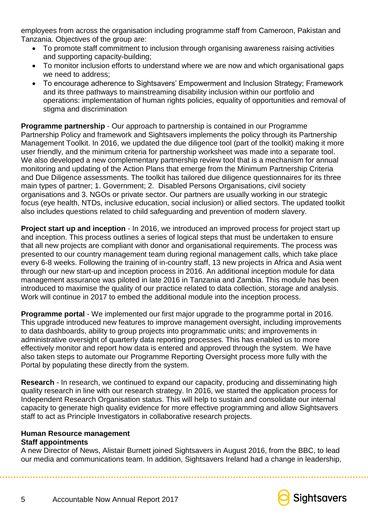employees from across the organisation including programme staff from Cameroon, Pakistan and Tanzania. Objectives of the group are:

- To promote staff commitment to inclusion through organising awareness raising activities and supporting capacity-building;
- To monitor inclusion efforts to understand where we are now and which organisational gaps we need to address:
- To encourage adherence to Sightsavers' Empowerment and Inclusion Strategy; Framework and its three pathways to mainstreaming disability inclusion within our portfolio and operations: implementation of human rights policies, equality of opportunities and removal of stigma and discrimination

**Programme partnership** - Our approach to partnership is contained in our Programme Partnership Policy and framework and Sightsavers implements the policy through its Partnership Management Toolkit. In 2016, we updated the due diligence tool (part of the toolkit) making it more user friendly, and the minimum criteria for partnership worksheet was made into a separate tool. We also developed a new complementary partnership review tool that is a mechanism for annual monitoring and updating of the Action Plans that emerge from the Minimum Partnership Criteria and Due Diligence assessments. The toolkit has tailored due diligence questionnaires for its three main types of partner; 1. Government; 2. Disabled Persons Organisations, civil society organisations and 3. NGOs or private sector. Our partners are usually working in our strategic focus (eye health, NTDs, inclusive education, social inclusion) or allied sectors. The updated toolkit also includes questions related to child safeguarding and prevention of modern slavery.

**Project start up and inception** - In 2016, we introduced an improved process for project start up and inception. This process outlines a series of logical steps that must be undertaken to ensure that all new projects are compliant with donor and organisational requirements. The process was presented to our country management team during regional management calls, which take place every 6-8 weeks. Following the training of in-country staff, 13 new projects in Africa and Asia went through our new start-up and inception process in 2016. An additional inception module for data management assurance was piloted in late 2016 in Tanzania and Zambia. This module has been introduced to maximise the quality of our practice related to data collection, storage and analysis. Work will continue in 2017 to embed the additional module into the inception process.

**Programme portal** - We implemented our first major upgrade to the programme portal in 2016. This upgrade introduced new features to improve management oversight, including improvements to data dashboards, ability to group projects into programmatic units; and improvements in administrative oversight of quarterly data reporting processes. This has enabled us to more effectively monitor and report how data is entered and approved through the system. We have also taken steps to automate our Programme Reporting Oversight process more fully with the Portal by populating these directly from the system.

**Research** - In research, we continued to expand our capacity, producing and disseminating high quality research in line with our research strategy. In 2016, we started the application process for Independent Research Organisation status. This will help to sustain and consolidate our internal capacity to generate high quality evidence for more effective programming and allow Sightsavers staff to act as Principle Investigators in collaborative research projects.

#### **Human Resource management Staff appointments**

A new Director of News, Alistair Burnett joined Sightsavers in August 2016, from the BBC, to lead our media and communications team. In addition, Sightsavers Ireland had a change in leadership,

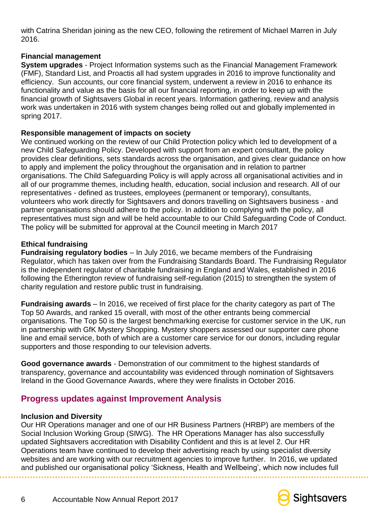with Catrina Sheridan joining as the new CEO, following the retirement of Michael Marren in July 2016.

#### **Financial management**

**System upgrades** - Project Information systems such as the Financial Management Framework (FMF), Standard List, and Proactis all had system upgrades in 2016 to improve functionality and efficiency. Sun accounts, our core financial system, underwent a review in 2016 to enhance its functionality and value as the basis for all our financial reporting, in order to keep up with the financial growth of Sightsavers Global in recent years. Information gathering, review and analysis work was undertaken in 2016 with system changes being rolled out and globally implemented in spring 2017.

#### **Responsible management of impacts on society**

We continued working on the review of our Child Protection policy which led to development of a new Child Safeguarding Policy. Developed with support from an expert consultant, the policy provides clear definitions, sets standards across the organisation, and gives clear guidance on how to apply and implement the policy throughout the organisation and in relation to partner organisations. The Child Safeguarding Policy is will apply across all organisational activities and in all of our programme themes, including health, education, social inclusion and research. All of our representatives - defined as trustees, employees (permanent or temporary), consultants, volunteers who work directly for Sightsavers and donors travelling on Sightsavers business - and partner organisations should adhere to the policy. In addition to complying with the policy, all representatives must sign and will be held accountable to our Child Safeguarding Code of Conduct. The policy will be submitted for approval at the Council meeting in March 2017

#### **Ethical fundraising**

**Fundraising regulatory bodies** – In July 2016, we became members of the Fundraising Regulator, which has taken over from the Fundraising Standards Board. The Fundraising Regulator is the independent regulator of charitable fundraising in England and Wales, established in 2016 following the Etherington review of fundraising self-regulation (2015) to strengthen the system of charity regulation and restore public trust in fundraising.

**Fundraising awards** – In 2016, we received of first place for the charity category as part of The Top 50 Awards, and ranked 15 overall, with most of the other entrants being commercial organisations. The Top 50 is the largest benchmarking exercise for customer service in the UK, run in partnership with GfK Mystery Shopping. Mystery shoppers assessed our supporter care phone line and email service, both of which are a customer care service for our donors, including regular supporters and those responding to our television adverts.

**Good governance awards** - Demonstration of our commitment to the highest standards of transparency, governance and accountability was evidenced through nomination of Sightsavers Ireland in the Good Governance Awards, where they were finalists in October 2016.

### **Progress updates against Improvement Analysis**

#### **Inclusion and Diversity**

Our HR Operations manager and one of our HR Business Partners (HRBP) are members of the Social Inclusion Working Group (SIWG). The HR Operations Manager has also successfully updated Sightsavers accreditation with Disability Confident and this is at level 2. Our HR Operations team have continued to develop their advertising reach by using specialist diversity websites and are working with our recruitment agencies to improve further. In 2016, we updated and published our organisational policy 'Sickness, Health and Wellbeing', which now includes full

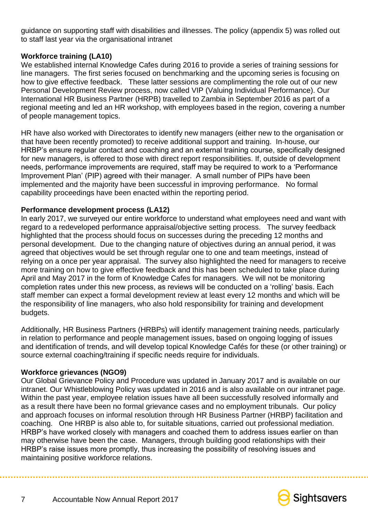guidance on supporting staff with disabilities and illnesses. The policy (appendix 5) was rolled out to staff last year via the organisational intranet

#### **Workforce training (LA10)**

We established internal Knowledge Cafes during 2016 to provide a series of training sessions for line managers. The first series focused on benchmarking and the upcoming series is focusing on how to give effective feedback. These latter sessions are complimenting the role out of our new Personal Development Review process, now called VIP (Valuing Individual Performance). Our International HR Business Partner (HRPB) travelled to Zambia in September 2016 as part of a regional meeting and led an HR workshop, with employees based in the region, covering a number of people management topics.

HR have also worked with Directorates to identify new managers (either new to the organisation or that have been recently promoted) to receive additional support and training. In-house, our HRBP's ensure regular contact and coaching and an external training course, specifically designed for new managers, is offered to those with direct report responsibilities. If, outside of development needs, performance improvements are required, staff may be required to work to a 'Performance Improvement Plan' (PIP) agreed with their manager. A small number of PIPs have been implemented and the majority have been successful in improving performance. No formal capability proceedings have been enacted within the reporting period.

#### **Performance development process (LA12)**

In early 2017, we surveyed our entire workforce to understand what employees need and want with regard to a redeveloped performance appraisal/objective setting process. The survey feedback highlighted that the process should focus on successes during the preceding 12 months and personal development. Due to the changing nature of objectives during an annual period, it was agreed that objectives would be set through regular one to one and team meetings, instead of relying on a once per year appraisal. The survey also highlighted the need for managers to receive more training on how to give effective feedback and this has been scheduled to take place during April and May 2017 in the form of Knowledge Cafes for managers. We will not be monitoring completion rates under this new process, as reviews will be conducted on a 'rolling' basis. Each staff member can expect a formal development review at least every 12 months and which will be the responsibility of line managers, who also hold responsibility for training and development budgets.

Additionally, HR Business Partners (HRBPs) will identify management training needs, particularly in relation to performance and people management issues, based on ongoing logging of issues and identification of trends, and will develop topical Knowledge Cafés for these (or other training) or source external coaching/training if specific needs require for individuals.

#### **Workforce grievances (NGO9)**

Our Global Grievance Policy and Procedure was updated in January 2017 and is available on our intranet. Our Whistleblowing Policy was updated in 2016 and is also available on our intranet page. Within the past year, employee relation issues have all been successfully resolved informally and as a result there have been no formal grievance cases and no employment tribunals. Our policy and approach focuses on informal resolution through HR Business Partner (HRBP) facilitation and coaching. One HRBP is also able to, for suitable situations, carried out professional mediation. HRBP's have worked closely with managers and coached them to address issues earlier on than may otherwise have been the case. Managers, through building good relationships with their HRBP's raise issues more promptly, thus increasing the possibility of resolving issues and maintaining positive workforce relations.